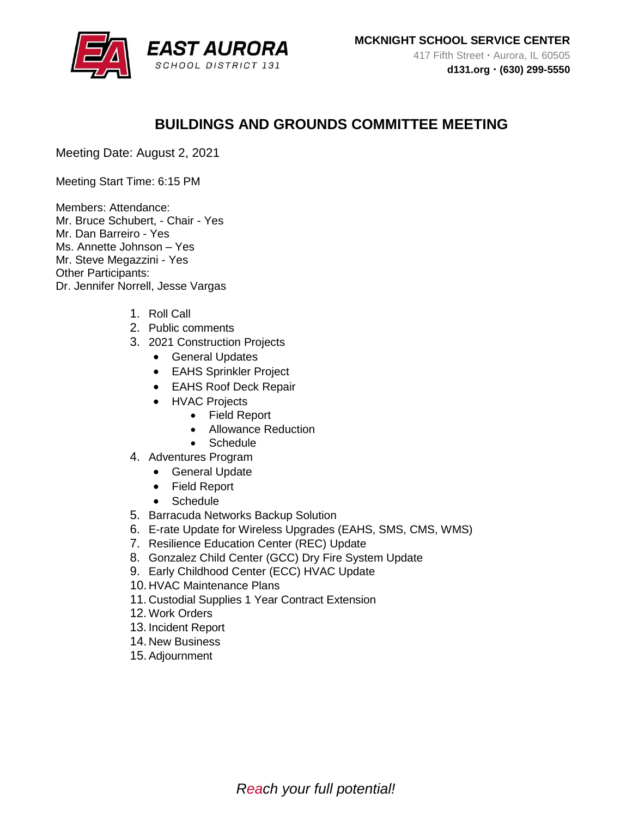

## **BUILDINGS AND GROUNDS COMMITTEE MEETING**

Meeting Date: August 2, 2021

Meeting Start Time: 6:15 PM

Members: Attendance: Mr. Bruce Schubert, - Chair - Yes Mr. Dan Barreiro - Yes Ms. Annette Johnson – Yes Mr. Steve Megazzini - Yes Other Participants: Dr. Jennifer Norrell, Jesse Vargas

- 1. Roll Call
- 2. Public comments
- 3. 2021 Construction Projects
	- **•** General Updates
	- EAHS Sprinkler Project
	- EAHS Roof Deck Repair
	- HVAC Projects
		- Field Report
		- Allowance Reduction
		- Schedule
- 4. Adventures Program
	- **•** General Update
	- Field Report
	- Schedule
- 5. Barracuda Networks Backup Solution
- 6. E-rate Update for Wireless Upgrades (EAHS, SMS, CMS, WMS)
- 7. Resilience Education Center (REC) Update
- 8. Gonzalez Child Center (GCC) Dry Fire System Update
- 9. Early Childhood Center (ECC) HVAC Update
- 10. HVAC Maintenance Plans
- 11. Custodial Supplies 1 Year Contract Extension
- 12. Work Orders
- 13. Incident Report
- 14. New Business
- 15.Adjournment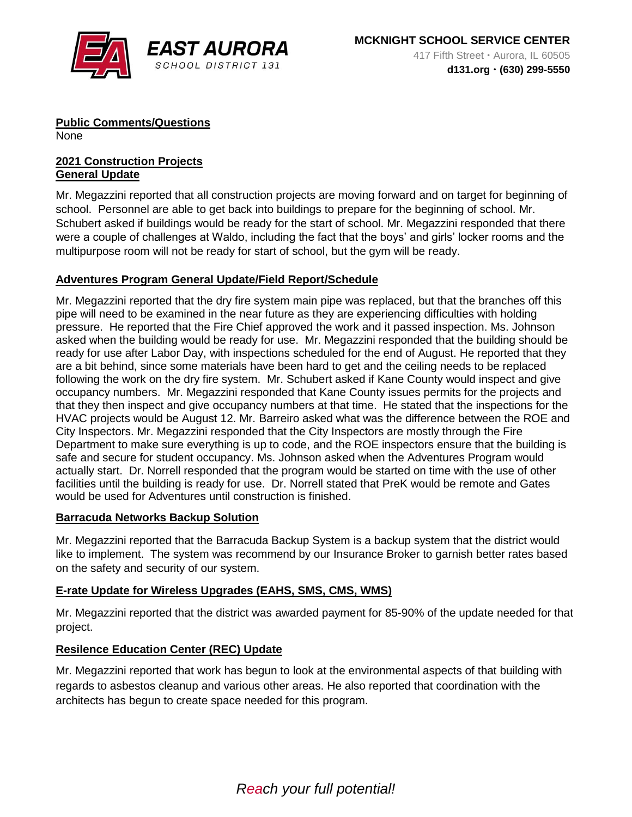

**Public Comments/Questions** 

None

#### **2021 Construction Projects General Update**

Mr. Megazzini reported that all construction projects are moving forward and on target for beginning of school. Personnel are able to get back into buildings to prepare for the beginning of school. Mr. Schubert asked if buildings would be ready for the start of school. Mr. Megazzini responded that there were a couple of challenges at Waldo, including the fact that the boys' and girls' locker rooms and the multipurpose room will not be ready for start of school, but the gym will be ready.

## **Adventures Program General Update/Field Report/Schedule**

Mr. Megazzini reported that the dry fire system main pipe was replaced, but that the branches off this pipe will need to be examined in the near future as they are experiencing difficulties with holding pressure. He reported that the Fire Chief approved the work and it passed inspection. Ms. Johnson asked when the building would be ready for use. Mr. Megazzini responded that the building should be ready for use after Labor Day, with inspections scheduled for the end of August. He reported that they are a bit behind, since some materials have been hard to get and the ceiling needs to be replaced following the work on the dry fire system. Mr. Schubert asked if Kane County would inspect and give occupancy numbers. Mr. Megazzini responded that Kane County issues permits for the projects and that they then inspect and give occupancy numbers at that time. He stated that the inspections for the HVAC projects would be August 12. Mr. Barreiro asked what was the difference between the ROE and City Inspectors. Mr. Megazzini responded that the City Inspectors are mostly through the Fire Department to make sure everything is up to code, and the ROE inspectors ensure that the building is safe and secure for student occupancy. Ms. Johnson asked when the Adventures Program would actually start. Dr. Norrell responded that the program would be started on time with the use of other facilities until the building is ready for use. Dr. Norrell stated that PreK would be remote and Gates would be used for Adventures until construction is finished.

#### **Barracuda Networks Backup Solution**

Mr. Megazzini reported that the Barracuda Backup System is a backup system that the district would like to implement. The system was recommend by our Insurance Broker to garnish better rates based on the safety and security of our system.

## **E-rate Update for Wireless Upgrades (EAHS, SMS, CMS, WMS)**

Mr. Megazzini reported that the district was awarded payment for 85-90% of the update needed for that project.

## **Resilence Education Center (REC) Update**

Mr. Megazzini reported that work has begun to look at the environmental aspects of that building with regards to asbestos cleanup and various other areas. He also reported that coordination with the architects has begun to create space needed for this program.

# *Reach your full potential!*